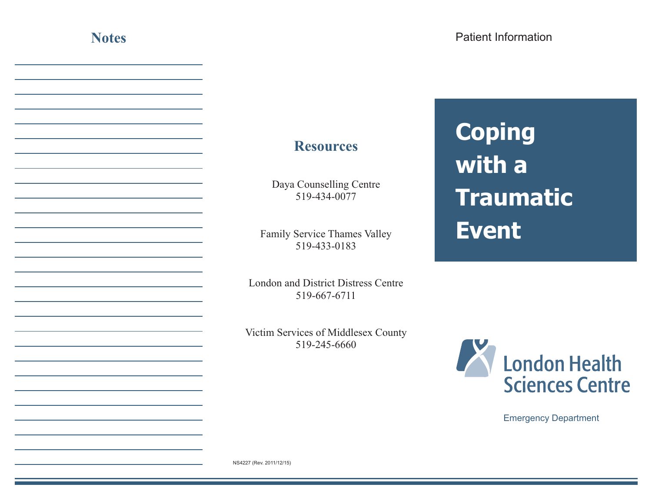## **Resources**

Daya Counselling Centre 519-434-0077

Family Service Thames Valley 519-433-0183

London and District Distress Centre 519-667-6711

Victim Services of Middlesex County 519-245-6660

## **Coping with a Traumatic Event**



Emergency Department

NS4227 (Rev. 2011/12/15)